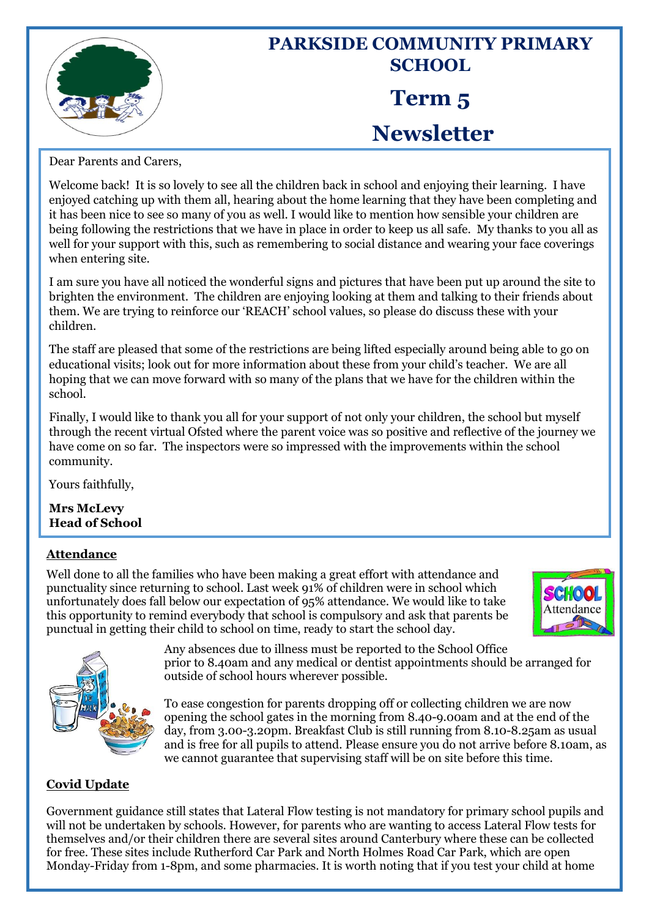

# **PARKSIDE COMMUNITY PRIMARY SCHOOL Term 5 Newsletter**

Dear Parents and Carers,

Welcome back! It is so lovely to see all the children back in school and enjoying their learning. I have enjoyed catching up with them all, hearing about the home learning that they have been completing and it has been nice to see so many of you as well. I would like to mention how sensible your children are being following the restrictions that we have in place in order to keep us all safe. My thanks to you all as well for your support with this, such as remembering to social distance and wearing your face coverings when entering site.

I am sure you have all noticed the wonderful signs and pictures that have been put up around the site to brighten the environment. The children are enjoying looking at them and talking to their friends about them. We are trying to reinforce our 'REACH' school values, so please do discuss these with your children.

The staff are pleased that some of the restrictions are being lifted especially around being able to go on educational visits; look out for more information about these from your child's teacher. We are all hoping that we can move forward with so many of the plans that we have for the children within the school.

Finally, I would like to thank you all for your support of not only your children, the school but myself through the recent virtual Ofsted where the parent voice was so positive and reflective of the journey we have come on so far. The inspectors were so impressed with the improvements within the school community.

Yours faithfully,

**Mrs McLevy Head of School**

# **Attendance**

Well done to all the families who have been making a great effort with attendance and punctuality since returning to school. Last week 91% of children were in school which unfortunately does fall below our expectation of 95% attendance. We would like to take this opportunity to remind everybody that school is compulsory and ask that parents be punctual in getting their child to school on time, ready to start the school day.





Any absences due to illness must be reported to the School Office prior to 8.40am and any medical or dentist appointments should be arranged for outside of school hours wherever possible.

To ease congestion for parents dropping off or collecting children we are now opening the school gates in the morning from 8.40-9.00am and at the end of the day, from 3.00-3.20pm. Breakfast Club is still running from 8.10-8.25am as usual and is free for all pupils to attend. Please ensure you do not arrive before 8.10am, as we cannot guarantee that supervising staff will be on site before this time.

### **Covid Update**

Government guidance still states that Lateral Flow testing is not mandatory for primary school pupils and will not be undertaken by schools. However, for parents who are wanting to access Lateral Flow tests for themselves and/or their children there are several sites around Canterbury where these can be collected for free. These sites include Rutherford Car Park and North Holmes Road Car Park, which are open Monday-Friday from 1-8pm, and some pharmacies. It is worth noting that if you test your child at home